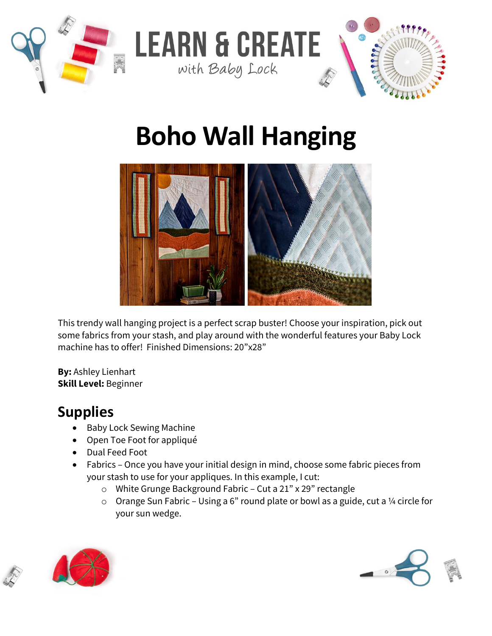

# **Boho Wall Hanging**



This trendy wall hanging project is a perfect scrap buster! Choose your inspiration, pick out some fabrics from your stash, and play around with the wonderful features your Baby Lock machine has to offer!Finished Dimensions: 20"x28"

**By:** Ashley Lienhart **Skill Level:** Beginner

## **Supplies**

- Baby Lock Sewing Machine
- Open Toe Foot for appliqué
- Dual Feed Foot
- Fabrics Once you have your initial design in mind, choose some fabric pieces from your stash to use for your appliques. In this example, I cut:
	- o White Grunge Background Fabric Cut a 21" x 29" rectangle
	- $\circ$  Orange Sun Fabric Using a 6" round plate or bowl as a guide, cut a 1/4 circle for your sun wedge.





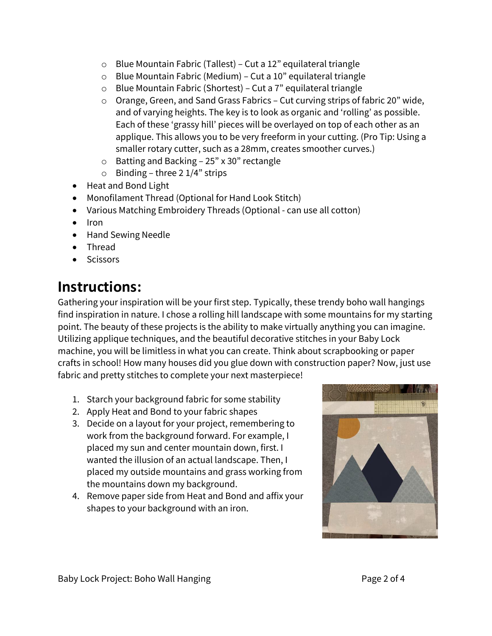- o Blue Mountain Fabric (Tallest) Cut a 12" equilateral triangle
- o Blue Mountain Fabric (Medium) Cut a 10" equilateral triangle
- o Blue Mountain Fabric (Shortest) Cut a 7" equilateral triangle
- o Orange, Green, and Sand Grass Fabrics Cut curving strips of fabric 20" wide, and of varying heights. The key is to look as organic and 'rolling' as possible. Each of these 'grassy hill' pieces will be overlayed on top of each other as an applique. This allows you to be very freeform in your cutting. (Pro Tip: Using a smaller rotary cutter, such as a 28mm, creates smoother curves.)
- o Batting and Backing 25" x 30" rectangle
- $\circ$  Binding three 2 1/4" strips
- Heat and Bond Light
- Monofilament Thread (Optional for Hand Look Stitch)
- Various Matching Embroidery Threads (Optional can use all cotton)
- Iron
- Hand Sewing Needle
- Thread
- **Scissors**

### **Instructions:**

Gathering your inspiration will be your first step. Typically, these trendy boho wall hangings find inspiration in nature. I chose a rolling hill landscape with some mountains for my starting point. The beauty of these projects is the ability to make virtually anything you can imagine. Utilizing applique techniques, and the beautiful decorative stitches in your Baby Lock machine, you will be limitless in what you can create. Think about scrapbooking or paper crafts in school! How many houses did you glue down with construction paper? Now, just use fabric and pretty stitches to complete your next masterpiece!

- 1. Starch your background fabric for some stability
- 2. Apply Heat and Bond to your fabric shapes
- 3. Decide on a layout for your project, remembering to work from the background forward. For example, I placed my sun and center mountain down, first. I wanted the illusion of an actual landscape. Then, I placed my outside mountains and grass working from the mountains down my background.
- 4. Remove paper side from Heat and Bond and affix your shapes to your background with an iron.

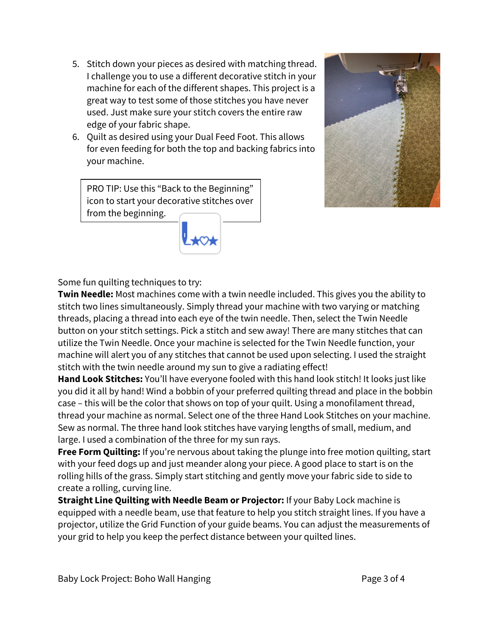- 5. Stitch down your pieces as desired with matching thread. I challenge you to use a different decorative stitch in your machine for each of the different shapes. This project is a great way to test some of those stitches you have never used. Just make sure your stitch covers the entire raw edge of your fabric shape.
- 6. Quilt as desired using your Dual Feed Foot. This allows for even feeding for both the top and backing fabrics into your machine.

PRO TIP: Use this "Back to the Beginning" icon to start your decorative stitches over from the beginning.





**Twin Needle:** Most machines come with a twin needle included. This gives you the ability to stitch two lines simultaneously. Simply thread your machine with two varying or matching threads, placing a thread into each eye of the twin needle. Then, select the Twin Needle button on your stitch settings. Pick a stitch and sew away! There are many stitches that can utilize the Twin Needle. Once your machine is selected for the Twin Needle function, your machine will alert you of any stitches that cannot be used upon selecting. I used the straight stitch with the twin needle around my sun to give a radiating effect!

**Hand Look Stitches:** You'll have everyone fooled with this hand look stitch! It looks just like you did it all by hand! Wind a bobbin of your preferred quilting thread and place in the bobbin case – this will be the color that shows on top of your quilt. Using a monofilament thread, thread your machine as normal. Select one of the three Hand Look Stitches on your machine. Sew as normal. The three hand look stitches have varying lengths of small, medium, and large. I used a combination of the three for my sun rays.

**Free Form Quilting:** If you're nervous about taking the plunge into free motion quilting, start with your feed dogs up and just meander along your piece. A good place to start is on the rolling hills of the grass. Simply start stitching and gently move your fabric side to side to create a rolling, curving line.

**Straight Line Quilting with Needle Beam or Projector:** If your Baby Lock machine is equipped with a needle beam, use that feature to help you stitch straight lines. If you have a projector, utilize the Grid Function of your guide beams. You can adjust the measurements of your grid to help you keep the perfect distance between your quilted lines.